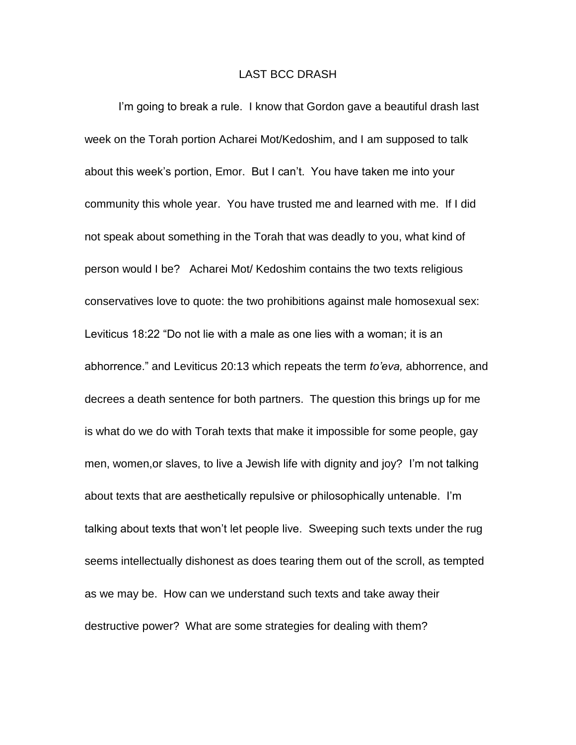## LAST BCC DRASH

I'm going to break a rule. I know that Gordon gave a beautiful drash last week on the Torah portion Acharei Mot/Kedoshim, and I am supposed to talk about this week's portion, Emor. But I can't. You have taken me into your community this whole year. You have trusted me and learned with me. If I did not speak about something in the Torah that was deadly to you, what kind of person would I be? Acharei Mot/ Kedoshim contains the two texts religious conservatives love to quote: the two prohibitions against male homosexual sex: Leviticus 18:22 "Do not lie with a male as one lies with a woman; it is an abhorrence." and Leviticus 20:13 which repeats the term *to'eva,* abhorrence, and decrees a death sentence for both partners. The question this brings up for me is what do we do with Torah texts that make it impossible for some people, gay men, women,or slaves, to live a Jewish life with dignity and joy? I'm not talking about texts that are aesthetically repulsive or philosophically untenable. I'm talking about texts that won't let people live. Sweeping such texts under the rug seems intellectually dishonest as does tearing them out of the scroll, as tempted as we may be. How can we understand such texts and take away their destructive power? What are some strategies for dealing with them?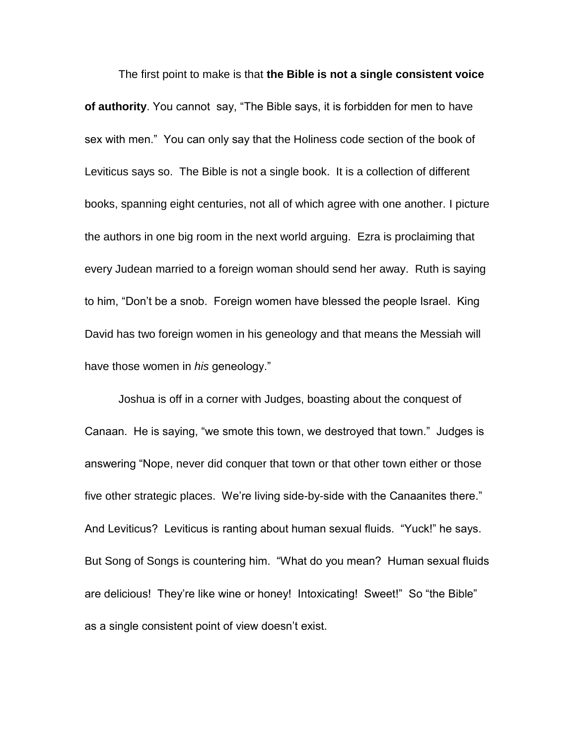The first point to make is that **the Bible is not a single consistent voice of authority**. You cannot say, "The Bible says, it is forbidden for men to have sex with men." You can only say that the Holiness code section of the book of Leviticus says so. The Bible is not a single book. It is a collection of different books, spanning eight centuries, not all of which agree with one another. I picture the authors in one big room in the next world arguing. Ezra is proclaiming that every Judean married to a foreign woman should send her away. Ruth is saying to him, "Don't be a snob. Foreign women have blessed the people Israel. King David has two foreign women in his geneology and that means the Messiah will have those women in *his* geneology."

Joshua is off in a corner with Judges, boasting about the conquest of Canaan. He is saying, "we smote this town, we destroyed that town." Judges is answering "Nope, never did conquer that town or that other town either or those five other strategic places. We're living side-by-side with the Canaanites there." And Leviticus? Leviticus is ranting about human sexual fluids. "Yuck!" he says. But Song of Songs is countering him. "What do you mean? Human sexual fluids are delicious! They're like wine or honey! Intoxicating! Sweet!" So "the Bible" as a single consistent point of view doesn't exist.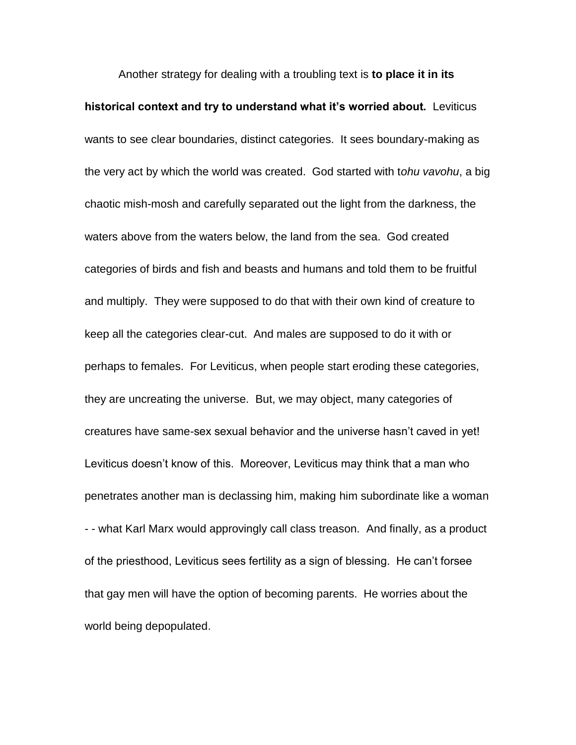Another strategy for dealing with a troubling text is **to place it in its historical context and try to understand what it's worried about.** Leviticus wants to see clear boundaries, distinct categories. It sees boundary-making as the very act by which the world was created. God started with t*ohu vavohu*, a big chaotic mish-mosh and carefully separated out the light from the darkness, the waters above from the waters below, the land from the sea. God created categories of birds and fish and beasts and humans and told them to be fruitful and multiply. They were supposed to do that with their own kind of creature to keep all the categories clear-cut. And males are supposed to do it with or perhaps to females. For Leviticus, when people start eroding these categories, they are uncreating the universe. But, we may object, many categories of creatures have same-sex sexual behavior and the universe hasn't caved in yet! Leviticus doesn't know of this. Moreover, Leviticus may think that a man who penetrates another man is declassing him, making him subordinate like a woman - - what Karl Marx would approvingly call class treason. And finally, as a product of the priesthood, Leviticus sees fertility as a sign of blessing. He can't forsee that gay men will have the option of becoming parents. He worries about the world being depopulated.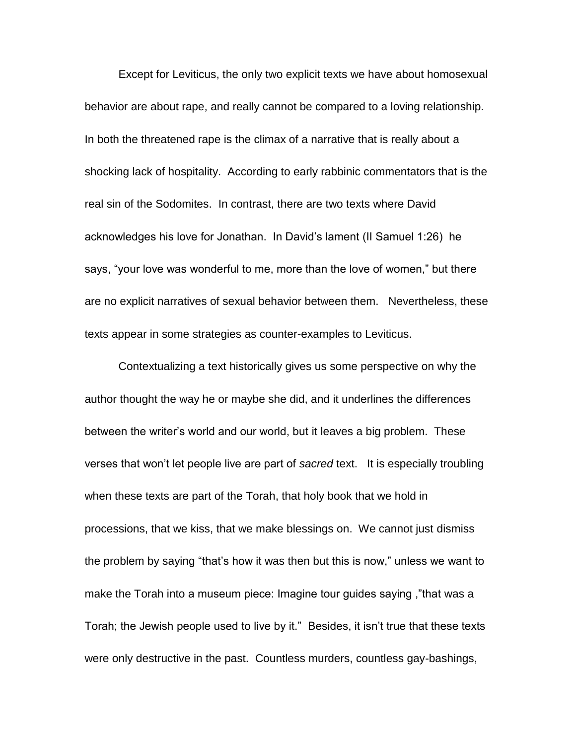Except for Leviticus, the only two explicit texts we have about homosexual behavior are about rape, and really cannot be compared to a loving relationship. In both the threatened rape is the climax of a narrative that is really about a shocking lack of hospitality. According to early rabbinic commentators that is the real sin of the Sodomites. In contrast, there are two texts where David acknowledges his love for Jonathan. In David's lament (II Samuel 1:26) he says, "your love was wonderful to me, more than the love of women," but there are no explicit narratives of sexual behavior between them. Nevertheless, these texts appear in some strategies as counter-examples to Leviticus.

Contextualizing a text historically gives us some perspective on why the author thought the way he or maybe she did, and it underlines the differences between the writer's world and our world, but it leaves a big problem. These verses that won't let people live are part of *sacred* text. It is especially troubling when these texts are part of the Torah, that holy book that we hold in processions, that we kiss, that we make blessings on. We cannot just dismiss the problem by saying "that's how it was then but this is now," unless we want to make the Torah into a museum piece: Imagine tour guides saying ,"that was a Torah; the Jewish people used to live by it." Besides, it isn't true that these texts were only destructive in the past. Countless murders, countless gay-bashings,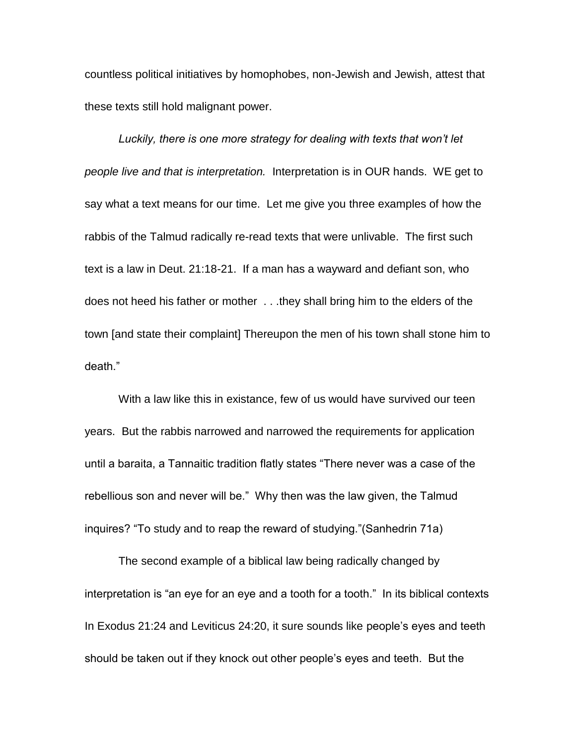countless political initiatives by homophobes, non-Jewish and Jewish, attest that these texts still hold malignant power.

*Luckily, there is one more strategy for dealing with texts that won't let people live and that is interpretation.* Interpretation is in OUR hands. WE get to say what a text means for our time. Let me give you three examples of how the rabbis of the Talmud radically re-read texts that were unlivable. The first such text is a law in Deut. 21:18-21. If a man has a wayward and defiant son, who does not heed his father or mother . . .they shall bring him to the elders of the town [and state their complaint] Thereupon the men of his town shall stone him to death."

With a law like this in existance, few of us would have survived our teen years. But the rabbis narrowed and narrowed the requirements for application until a baraita, a Tannaitic tradition flatly states "There never was a case of the rebellious son and never will be." Why then was the law given, the Talmud inquires? "To study and to reap the reward of studying."(Sanhedrin 71a)

The second example of a biblical law being radically changed by interpretation is "an eye for an eye and a tooth for a tooth." In its biblical contexts In Exodus 21:24 and Leviticus 24:20, it sure sounds like people's eyes and teeth should be taken out if they knock out other people's eyes and teeth. But the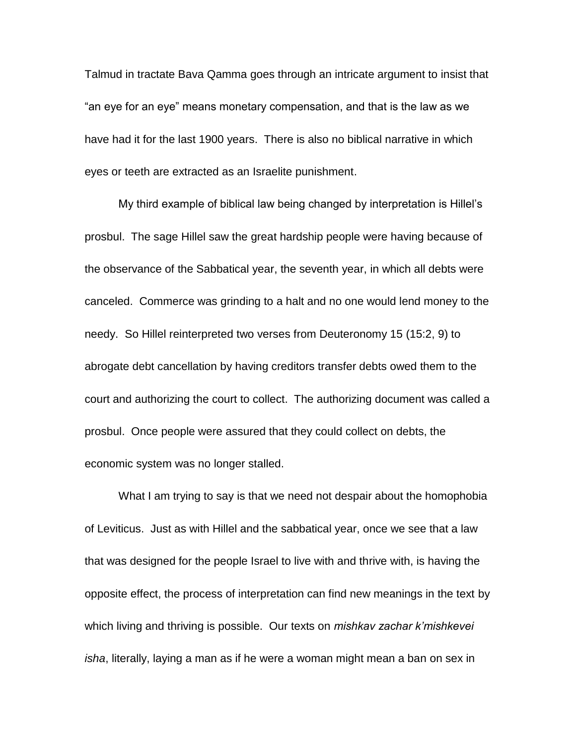Talmud in tractate Bava Qamma goes through an intricate argument to insist that "an eye for an eye" means monetary compensation, and that is the law as we have had it for the last 1900 years. There is also no biblical narrative in which eyes or teeth are extracted as an Israelite punishment.

My third example of biblical law being changed by interpretation is Hillel's prosbul. The sage Hillel saw the great hardship people were having because of the observance of the Sabbatical year, the seventh year, in which all debts were canceled. Commerce was grinding to a halt and no one would lend money to the needy. So Hillel reinterpreted two verses from Deuteronomy 15 (15:2, 9) to abrogate debt cancellation by having creditors transfer debts owed them to the court and authorizing the court to collect. The authorizing document was called a prosbul. Once people were assured that they could collect on debts, the economic system was no longer stalled.

What I am trying to say is that we need not despair about the homophobia of Leviticus. Just as with Hillel and the sabbatical year, once we see that a law that was designed for the people Israel to live with and thrive with, is having the opposite effect, the process of interpretation can find new meanings in the text by which living and thriving is possible. Our texts on *mishkav zachar k'mishkevei isha*, literally, laying a man as if he were a woman might mean a ban on sex in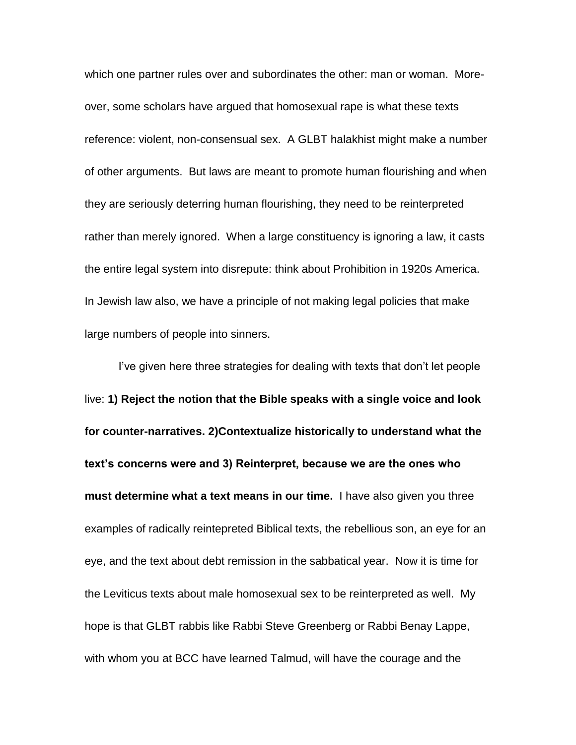which one partner rules over and subordinates the other: man or woman. Moreover, some scholars have argued that homosexual rape is what these texts reference: violent, non-consensual sex. A GLBT halakhist might make a number of other arguments. But laws are meant to promote human flourishing and when they are seriously deterring human flourishing, they need to be reinterpreted rather than merely ignored. When a large constituency is ignoring a law, it casts the entire legal system into disrepute: think about Prohibition in 1920s America. In Jewish law also, we have a principle of not making legal policies that make large numbers of people into sinners.

I've given here three strategies for dealing with texts that don't let people live: **1) Reject the notion that the Bible speaks with a single voice and look for counter-narratives. 2)Contextualize historically to understand what the text's concerns were and 3) Reinterpret, because we are the ones who must determine what a text means in our time.** I have also given you three examples of radically reintepreted Biblical texts, the rebellious son, an eye for an eye, and the text about debt remission in the sabbatical year. Now it is time for the Leviticus texts about male homosexual sex to be reinterpreted as well. My hope is that GLBT rabbis like Rabbi Steve Greenberg or Rabbi Benay Lappe, with whom you at BCC have learned Talmud, will have the courage and the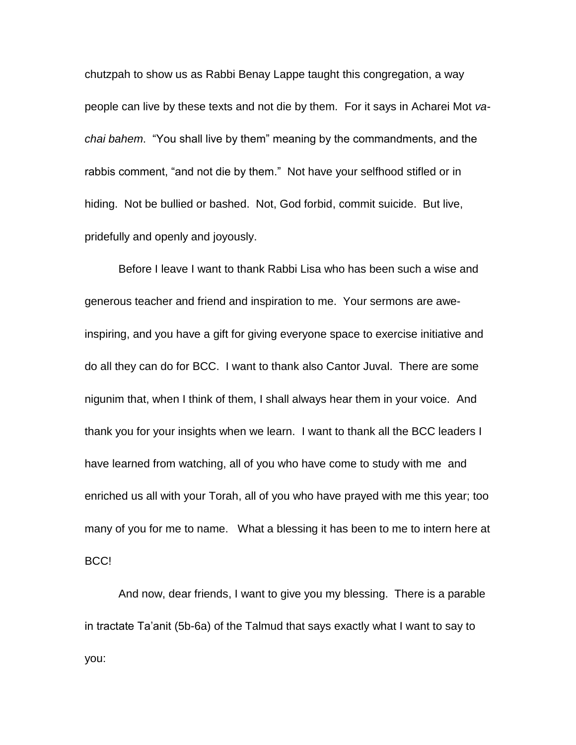chutzpah to show us as Rabbi Benay Lappe taught this congregation, a way people can live by these texts and not die by them. For it says in Acharei Mot *vachai bahem*. "You shall live by them" meaning by the commandments, and the rabbis comment, "and not die by them." Not have your selfhood stifled or in hiding. Not be bullied or bashed. Not, God forbid, commit suicide. But live, pridefully and openly and joyously.

Before I leave I want to thank Rabbi Lisa who has been such a wise and generous teacher and friend and inspiration to me. Your sermons are aweinspiring, and you have a gift for giving everyone space to exercise initiative and do all they can do for BCC. I want to thank also Cantor Juval. There are some nigunim that, when I think of them, I shall always hear them in your voice. And thank you for your insights when we learn. I want to thank all the BCC leaders I have learned from watching, all of you who have come to study with me and enriched us all with your Torah, all of you who have prayed with me this year; too many of you for me to name. What a blessing it has been to me to intern here at BCC!

And now, dear friends, I want to give you my blessing. There is a parable in tractate Ta'anit (5b-6a) of the Talmud that says exactly what I want to say to you: